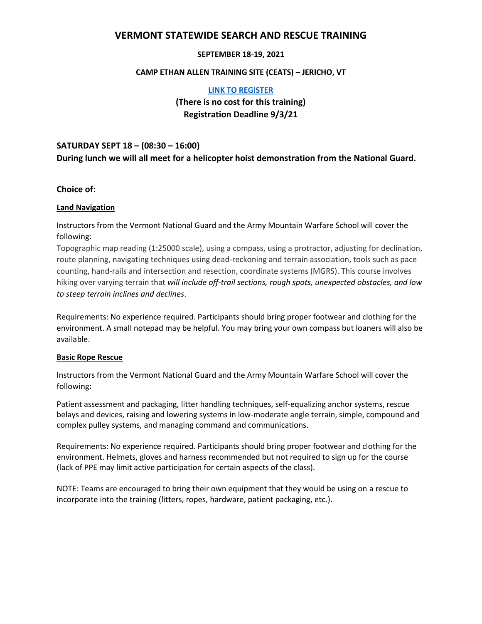# **VERMONT STATEWIDE SEARCH AND RESCUE TRAINING**

## **SEPTEMBER 18-19, 2021**

#### **CAMP ETHAN ALLEN TRAINING SITE (CEATS) – JERICHO, VT**

#### **[LINK TO REGISTER](https://forms.gle/oxdL3SFoqDdXvZBk8)**

# **(There is no cost for this training) Registration Deadline 9/3/21**

# **SATURDAY SEPT 18 – (08:30 – 16:00) During lunch we will all meet for a helicopter hoist demonstration from the National Guard.**

### **Choice of:**

#### **Land Navigation**

Instructors from the Vermont National Guard and the Army Mountain Warfare School will cover the following:

Topographic map reading (1:25000 scale), using a compass, using a protractor, adjusting for declination, route planning, navigating techniques using dead-reckoning and terrain association, tools such as pace counting, hand-rails and intersection and resection, coordinate systems (MGRS). This course involves hiking over varying terrain that *will include off-trail sections, rough spots, unexpected obstacles, and low to steep terrain inclines and declines*.

Requirements: No experience required. Participants should bring proper footwear and clothing for the environment. A small notepad may be helpful. You may bring your own compass but loaners will also be available.

#### **Basic Rope Rescue**

Instructors from the Vermont National Guard and the Army Mountain Warfare School will cover the following:

Patient assessment and packaging, litter handling techniques, self-equalizing anchor systems, rescue belays and devices, raising and lowering systems in low-moderate angle terrain, simple, compound and complex pulley systems, and managing command and communications.

Requirements: No experience required. Participants should bring proper footwear and clothing for the environment. Helmets, gloves and harness recommended but not required to sign up for the course (lack of PPE may limit active participation for certain aspects of the class).

NOTE: Teams are encouraged to bring their own equipment that they would be using on a rescue to incorporate into the training (litters, ropes, hardware, patient packaging, etc.).